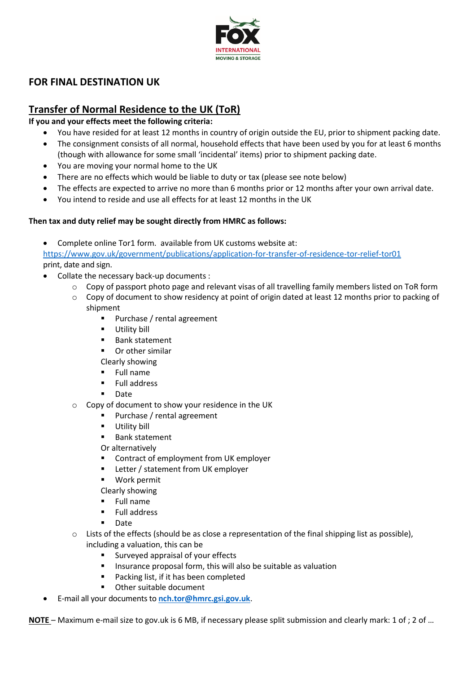

# **FOR FINAL DESTINATION UK**

# **Transfer of Normal Residence to the UK (ToR)**

**If you and your effects meet the following criteria:**

- You have resided for at least 12 months in country of origin outside the EU, prior to shipment packing date.
- The consignment consists of all normal, household effects that have been used by you for at least 6 months (though with allowance for some small 'incidental' items) prior to shipment packing date.
- You are moving your normal home to the UK
- There are no effects which would be liable to duty or tax (please see note below)
- The effects are expected to arrive no more than 6 months prior or 12 months after your own arrival date.
- You intend to reside and use all effects for at least 12 months in the UK

#### **Then tax and duty relief may be sought directly from HMRC as follows:**

• Complete online Tor1 form. available from UK customs website at:

<https://www.gov.uk/government/publications/application-for-transfer-of-residence-tor-relief-tor01> print, date and sign.

- Collate the necessary back-up documents :
	- $\circ$  Copy of passport photo page and relevant visas of all travelling family members listed on ToR form
	- $\circ$  Copy of document to show residency at point of origin dated at least 12 months prior to packing of shipment
		- Purchase / rental agreement
		- **■** Utility bill
		- Bank statement
		- Or other similar
		- Clearly showing
		- **Full name**
		- Full address
		- **Date**
	- o Copy of document to show your residence in the UK
		- Purchase / rental agreement
		- **■** Utility bill
		- Bank statement

Or alternatively

- Contract of employment from UK employer
- Letter / statement from UK employer
- Work permit
- Clearly showing
- Full name
- Full address
- Date
- $\circ$  Lists of the effects (should be as close a representation of the final shipping list as possible), including a valuation, this can be
	- Surveyed appraisal of your effects
	- Insurance proposal form, this will also be suitable as valuation
	- Packing list, if it has been completed
	- Other suitable document
- E-mail all your documents to **[nch.tor@hmrc.gsi.gov.uk](mailto:nch.tor@hmrc.gsi.gov.uk)**.

**NOTE** – Maximum e-mail size to gov.uk is 6 MB, if necessary please split submission and clearly mark: 1 of ; 2 of …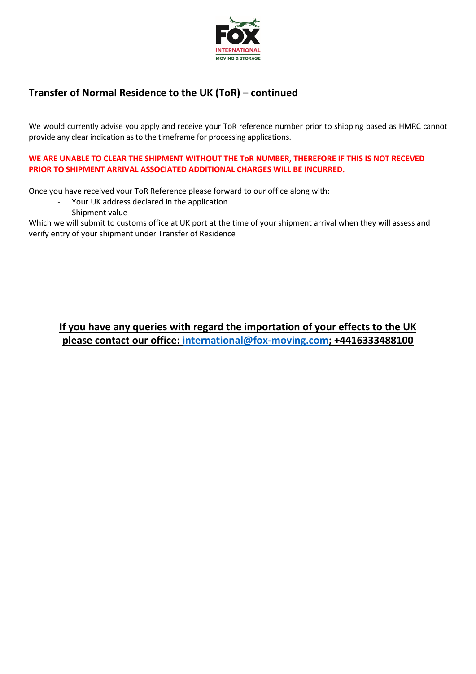

# **Transfer of Normal Residence to the UK (ToR) – continued**

We would currently advise you apply and receive your ToR reference number prior to shipping based as HMRC cannot provide any clear indication as to the timeframe for processing applications.

**WE ARE UNABLE TO CLEAR THE SHIPMENT WITHOUT THE ToR NUMBER, THEREFORE IF THIS IS NOT RECEVED PRIOR TO SHIPMENT ARRIVAL ASSOCIATED ADDITIONAL CHARGES WILL BE INCURRED.** 

Once you have received your ToR Reference please forward to our office along with:

- Your UK address declared in the application
- Shipment value

Which we will submit to customs office at UK port at the time of your shipment arrival when they will assess and verify entry of your shipment under Transfer of Residence

# **If you have any queries with regard the importation of your effects to the UK please contact our office: [international@fox-moving.com;](mailto:international@fox-moving.com) +4416333488100**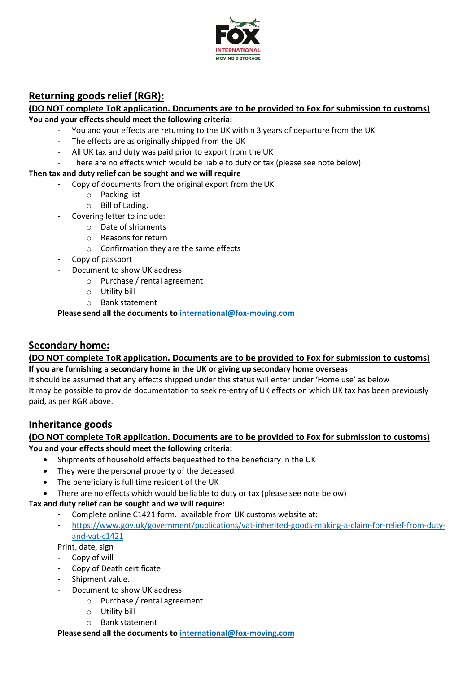

# **Returning goods relief (RGR):**

#### **(DO NOT complete ToR application. Documents are to be provided to Fox for submission to customs) You and your effects should meet the following criteria:**

- You and your effects are returning to the UK within 3 years of departure from the UK
- The effects are as originally shipped from the UK
- All UK tax and duty was paid prior to export from the UK
- There are no effects which would be liable to duty or tax (please see note below)

#### **Then tax and duty relief can be sought and we will require**

- Copy of documents from the original export from the UK
	- o Packing list
	- o Bill of Lading.
- Covering letter to include:
	- o Date of shipments
	- o Reasons for return
	- o Confirmation they are the same effects
- Copy of passport
- Document to show UK address
	- o Purchase / rental agreement
	- o Utility bill
	- o Bank statement

**Please send all the documents to [international@fox-moving.com](mailto:international@fox-moving.com)**

## **Secondary home:**

#### **(DO NOT complete ToR application. Documents are to be provided to Fox for submission to customs) If you are furnishing a secondary home in the UK or giving up secondary home overseas**

It should be assumed that any effects shipped under this status will enter under 'Home use' as below It may be possible to provide documentation to seek re-entry of UK effects on which UK tax has been previously paid, as per RGR above.

## **Inheritance goods**

#### **(DO NOT complete ToR application. Documents are to be provided to Fox for submission to customs) You and your effects should meet the following criteria:**

- Shipments of household effects bequeathed to the beneficiary in the UK
- They were the personal property of the deceased
- The beneficiary is full time resident of the UK
- There are no effects which would be liable to duty or tax (please see note below)

### **Tax and duty relief can be sought and we will require:**

- Complete online C1421 form. available from UK customs website at:
- [https://www.gov.uk/government/publications/vat-inherited-goods-making-a-claim-for-relief-from-duty](https://www.gov.uk/government/publications/vat-inherited-goods-making-a-claim-for-relief-from-duty-and-vat-c1421)[and-vat-c1421](https://www.gov.uk/government/publications/vat-inherited-goods-making-a-claim-for-relief-from-duty-and-vat-c1421)

Print, date, sign

- Copy of will
- Copy of Death certificate
- Shipment value.
- Document to show UK address
	- o Purchase / rental agreement
	- o Utility bill
	- o Bank statement

**Please send all the documents to [international@fox-moving.com](mailto:international@fox-moving.com)**